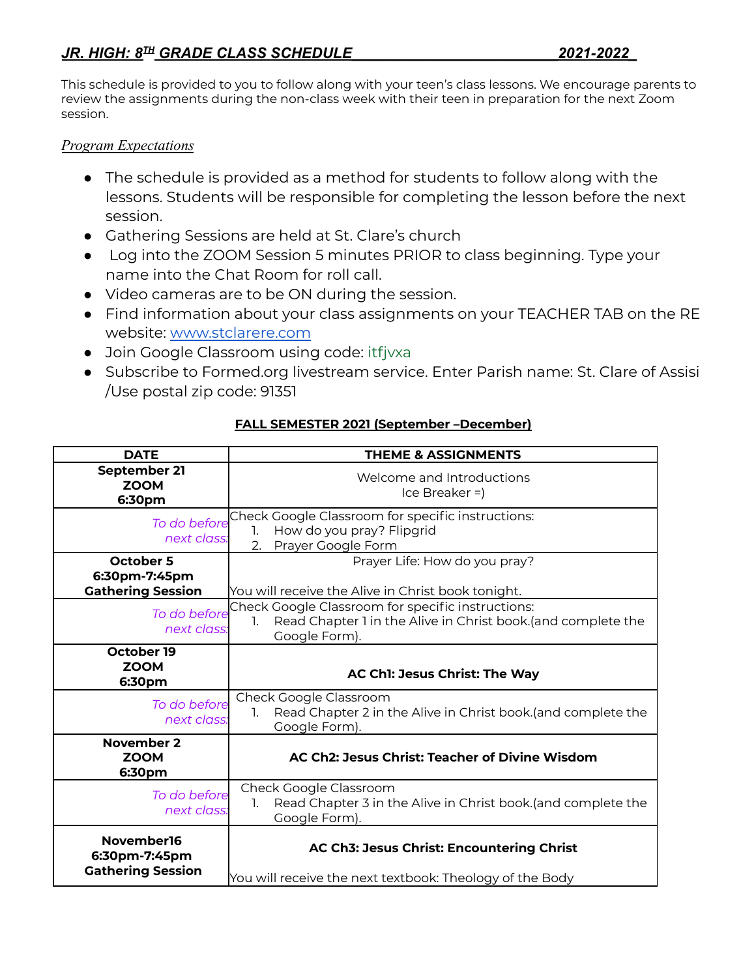This schedule is provided to you to follow along with your teen's class lessons. We encourage parents to review the assignments during the non-class week with their teen in preparation for the next Zoom session.

## *Program Expectations*

- The schedule is provided as a method for students to follow along with the lessons. Students will be responsible for completing the lesson before the next session.
- Gathering Sessions are held at St. Clare's church
- Log into the ZOOM Session 5 minutes PRIOR to class beginning. Type your name into the Chat Room for roll call.
- Video cameras are to be ON during the session.
- Find information about your class assignments on your TEACHER TAB on the RE website: [www.stclarere.com](http://www.stclarere.com)
- Join Google Classroom using code: itfjvxa
- Subscribe to Formed.org livestream service. Enter Parish name: St. Clare of Assisi /Use postal zip code: 91351

| <b>DATE</b>                                                   | <b>THEME &amp; ASSIGNMENTS</b>                                                                                                           |
|---------------------------------------------------------------|------------------------------------------------------------------------------------------------------------------------------------------|
| September 21<br><b>ZOOM</b><br>6:30pm                         | Welcome and Introductions<br>$ ce Breaker = $                                                                                            |
| To do before<br>next class:                                   | Check Google Classroom for specific instructions:<br>How do you pray? Flipgrid<br>1.<br>2. Prayer Google Form                            |
| <b>October 5</b><br>6:30pm-7:45pm<br><b>Gathering Session</b> | Prayer Life: How do you pray?<br>You will receive the Alive in Christ book tonight.                                                      |
| To do before<br>next class:                                   | Check Google Classroom for specific instructions:<br>Read Chapter 1 in the Alive in Christ book.(and complete the<br>1.<br>Google Form). |
| October 19<br><b>ZOOM</b><br>6:30pm                           | AC Ch1: Jesus Christ: The Way                                                                                                            |
| To do before<br>next class:                                   | Check Google Classroom<br>Read Chapter 2 in the Alive in Christ book. (and complete the<br>1.<br>Google Form).                           |
| November 2<br><b>ZOOM</b><br>6:30pm                           | AC Ch2: Jesus Christ: Teacher of Divine Wisdom                                                                                           |
| To do before<br>next class:                                   | Check Google Classroom<br>Read Chapter 3 in the Alive in Christ book. (and complete the<br>1.<br>Google Form).                           |
| November16<br>6:30pm-7:45pm<br><b>Gathering Session</b>       | AC Ch3: Jesus Christ: Encountering Christ<br>You will receive the next textbook: Theology of the Body                                    |

## **FALL SEMESTER 2021 (September –December)**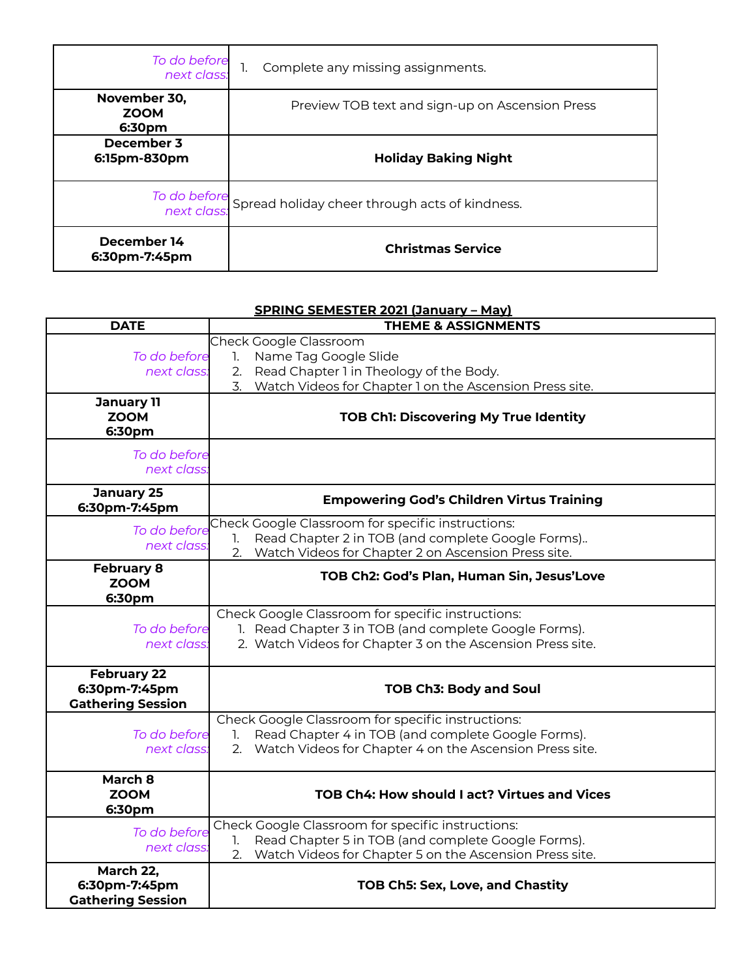| To do before<br>:next class           | Complete any missing assignments.                           |
|---------------------------------------|-------------------------------------------------------------|
| November 30,<br><b>ZOOM</b><br>6:30pm | Preview TOB text and sign-up on Ascension Press             |
| December 3<br>6:15pm-830pm            | <b>Holiday Baking Night</b>                                 |
|                                       | To do before Spread holiday cheer through acts of kindness. |
| December 14<br>6:30pm-7:45pm          | <b>Christmas Service</b>                                    |

## **SPRING SEMESTER 2021 (January – May)**

| <b>DATE</b>              | <b>THEME &amp; ASSIGNMENTS</b>                                |
|--------------------------|---------------------------------------------------------------|
|                          | Check Google Classroom                                        |
| To do before             | Name Tag Google Slide<br>1.                                   |
| next class.              | Read Chapter 1 in Theology of the Body.<br>2.                 |
|                          | 3. Watch Videos for Chapter 1 on the Ascension Press site.    |
| <b>January 11</b>        |                                                               |
| <b>ZOOM</b>              | TOB Ch1: Discovering My True Identity                         |
| 6:30pm                   |                                                               |
| To do before             |                                                               |
| next class:              |                                                               |
|                          |                                                               |
| <b>January 25</b>        | <b>Empowering God's Children Virtus Training</b>              |
| 6:30pm-7:45pm            |                                                               |
| To do before             | Check Google Classroom for specific instructions:             |
| next class.              | Read Chapter 2 in TOB (and complete Google Forms)<br>1.       |
|                          | Watch Videos for Chapter 2 on Ascension Press site.<br>2.     |
| <b>February 8</b>        | TOB Ch2: God's Plan, Human Sin, Jesus'Love                    |
| <b>ZOOM</b>              |                                                               |
| 6:30pm                   |                                                               |
|                          | Check Google Classroom for specific instructions:             |
| To do before             | 1. Read Chapter 3 in TOB (and complete Google Forms).         |
| next class:              | 2. Watch Videos for Chapter 3 on the Ascension Press site.    |
|                          |                                                               |
| <b>February 22</b>       |                                                               |
| 6:30pm-7:45pm            | <b>TOB Ch3: Body and Soul</b>                                 |
| <b>Gathering Session</b> |                                                               |
|                          | Check Google Classroom for specific instructions:             |
| To do before             | Read Chapter 4 in TOB (and complete Google Forms).<br>1.      |
| next class:              | Watch Videos for Chapter 4 on the Ascension Press site.<br>2. |
|                          |                                                               |
| March 8                  |                                                               |
| <b>ZOOM</b>              | <b>TOB Ch4: How should I act? Virtues and Vices</b>           |
| 6:30pm                   |                                                               |
| To do before             | Check Google Classroom for specific instructions:             |
| next class.              | Read Chapter 5 in TOB (and complete Google Forms).<br>1.      |
|                          | Watch Videos for Chapter 5 on the Ascension Press site.<br>2. |
| March 22,                |                                                               |
| 6:30pm-7:45pm            | TOB Ch5: Sex, Love, and Chastity                              |
| <b>Gathering Session</b> |                                                               |